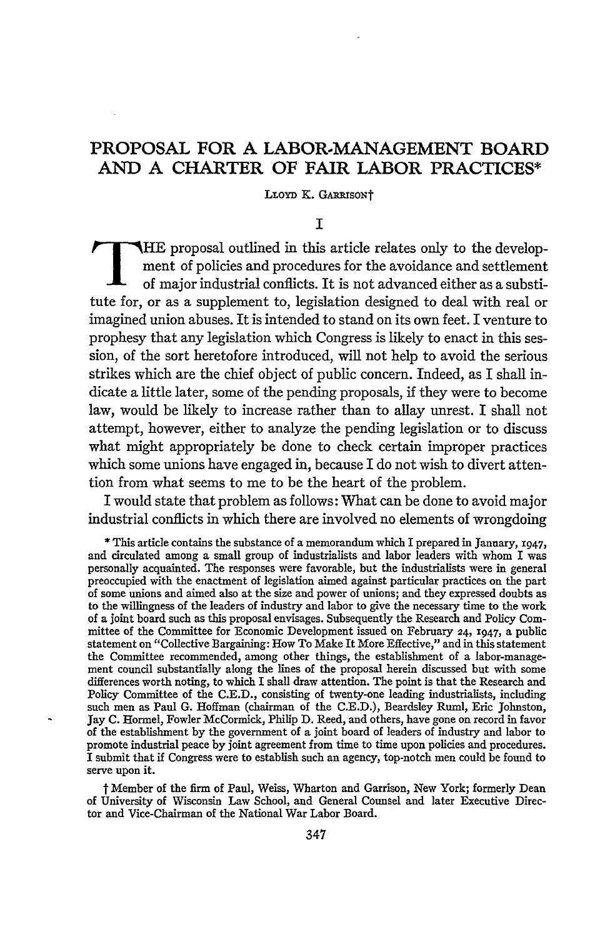# **PROPOSAL FOR A LABOR-MANAGEMENT BOARD AND A CHARTER OF FAIR LABOR PRACTICES\***

LLOYD **K.** GARRISONT

## **I**

**HE** proposal outlined in this article relates only to the development of policies and procedures for the avoidance and settlement of major industrial conflicts. It is not advanced either as a substitute for, or as a supplement to, legislation designed to deal with real or imagined union abuses. It is intended to stand on its own feet. I venture to prophesy that any legislation which Congress is likely to enact in this session, of the sort heretofore introduced, will not help to avoid the serious strikes which are the chief object of public concern. Indeed, as I shall indicate a little later, some of the pending proposals, if they were to become law, would be likely to increase rather than to allay unrest. I shall not attempt, however, either to analyze the pending legislation or to discuss what might appropriately be done to check certain improper practices which some unions have engaged in, because I do not wish to divert attention from what seems to me to be the heart of the problem.

I would state that problem as follows: What can be done to avoid major industrial conflicts in which there are involved no elements of wrongdoing

**\*** This article contains the substance of a memorandum which I prepared in January, x947, and circulated among a small group of industrialists and labor leaders with whom I was personally acquainted. The responses were favorable, but the industrialists were in general preoccupied with the enactment of legislation aimed against particular practices on the part of some unions and aimed also at the size and power of unions; and they expressed doubts as to the willingness of the leaders of industry and labor to give the necessary time to the work of a joint board such as this proposal envisages. Subsequently the Research and Policy Committee of the Committee for Economic Development issued on February 24, 1947, a public statement on "Collective Bargaining: How To Make It More Effective," and in this statement the Committee recommended, among other things, the establishment of a labor-management council substantially along the lines of the proposal herein discussed but with some differences worth noting, to which I shall draw attention. The point is that the Research and Policy Committee of the C.E.D., consisting of twenty-one leading industrialists, including such men as Paul G. Hoffman (chairman of the C.E.D.), Beardsley Ruml, Eric Johnston, Jay C. Hormel, Fowler McCormick, Philip D. Reed, and others, have gone on record in favor of the establishment by the government of a joint board of leaders of industry and labor to promote industrial peace by joint agreement from time to time upon policies and procedures. I submit that if Congress were to establish such an agency, top-notch men could be found to serve upon it.

t Member of the firm of Paul, Weiss, Wharton and Garrison, New York; formerly Dean of University of Wisconsin Law School, and General Counsel and later Executive Director and Vice-Chairman of the National War Labor Board.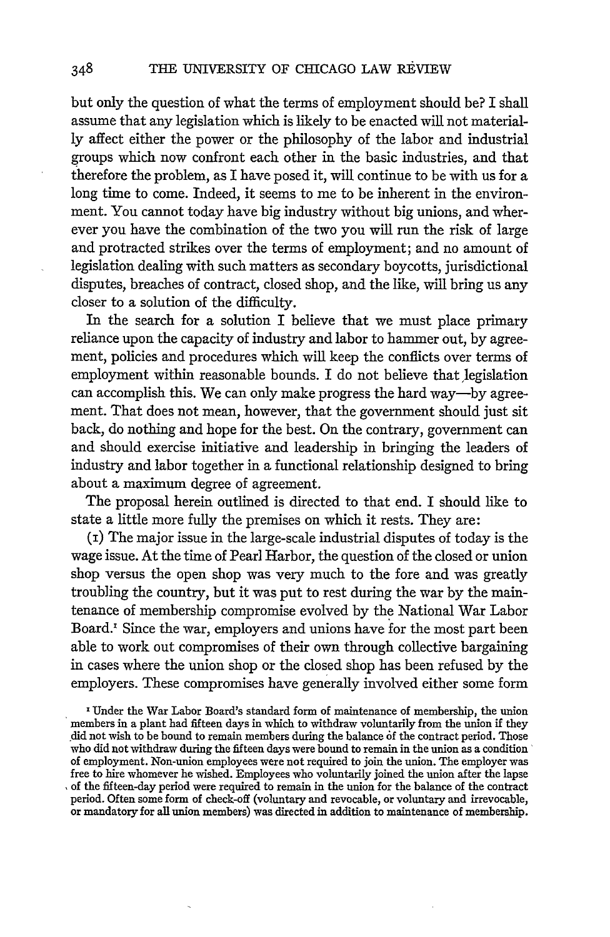but only the question of what the terms of employment should be? I shall assume that any legislation which is likely to be enacted will not materially affect either the power or the philosophy of the labor and industrial groups which now confront each other in the basic industries, and that therefore the problem, as I have posed it, will continue to be with us for a long time to come. Indeed, it seems to me to be inherent in the environment. You cannot today have big industry without big unions, and wherever you have the combination of the two you will run the risk of large and protracted strikes over the terms of employment; and no amount of legislation dealing with such matters as secondary boycotts, jurisdictional disputes, breaches of contract, dosed shop, and the like, will bring us any closer to a solution of the difficulty.

In the search for a solution I believe that we must place primary reliance upon the capacity of industry and labor to hammer out, by agreement, policies and procedures which will keep the conflicts over terms of employment within reasonable bounds. I do not believe that legislation can accomplish this. We can only make progress the hard way-by agreement. That does not mean, however, that the government should just sit back, do nothing and hope for the best. On the contrary, government can and should exercise initiative and leadership in bringing the leaders of industry and labor together in a functional relationship designed to bring about a maximum degree of agreement.

The proposal herein outlined is directed to that end. I should like to state a little more fully the premises on which it rests. They are:

(i) The major issue in the large-scale industrial disputes of today is the wage issue. At the time of Pearl Harbor, the question of the closed or union shop versus the open shop was very much to the fore and was greatly troubling the country, but it was put to rest during the war by the maintenance of membership compromise evolved by the National War Labor Board.' Since the war, employers and unions have for the most part been able to work out compromises of their own through collective bargaining in cases where the union shop or the closed shop has been refused by the employers. These compromises have generally involved either some form

**z Under** the War Labor Board's standard form of maintenance of membership, the union members in a plant had fifteen days in which to withdraw voluntarily from the union if they did not wish to be bound to remain members during the balance **6f** the contract period. Those who did not withdraw during the fifteen days were bound to remain in the union as a condition' of employment. Non-union employees were not required to join the union. The employer was free to hire whomever he wished. Employees who voluntarily joined the union after the lapse , of the fifteen-day period were required to remain in the union for the balance of the contract period. Often some form of check-off (voluntary and revocable, or voluntary and irrevocable, or mandatory for all union members) was directed in addition to maintenance of membership.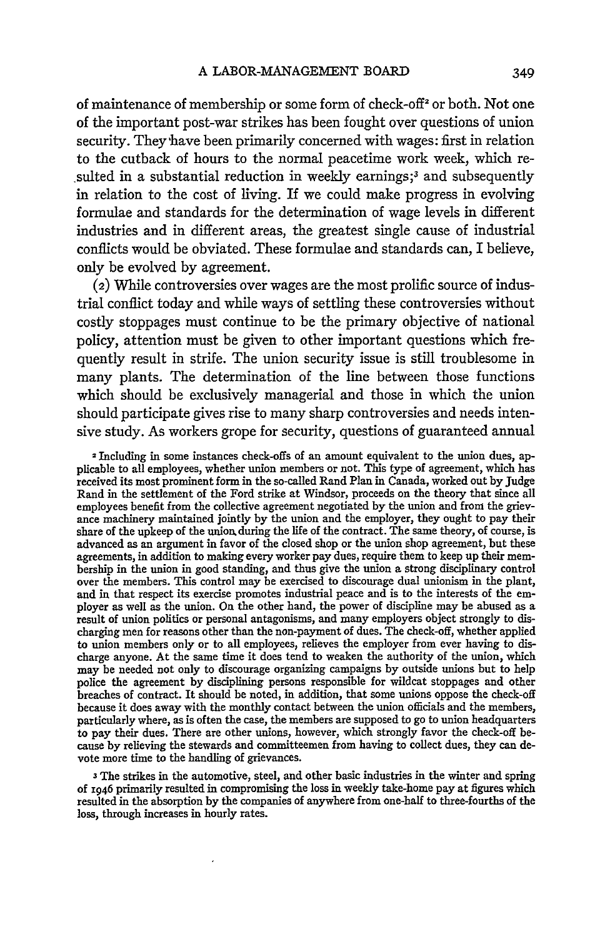of maintenance of membership or some form of check-off<sup>2</sup> or both. Not one of the important post-war strikes has been fought over questions of union security. They have been primarily concerned with wages: first in relation to the cutback of hours to the normal peacetime work week, which resulted in a substantial reduction in weekly earnings;<sup>3</sup> and subsequently in relation to the cost of living. If we could make progress in evolving formulae and standards for the determination of wage levels in different industries and in different areas, the greatest single cause of industrial conflicts would be obviated. These formulae and standards can, I believe, only be evolved by agreement.

(2) While controversies over wages are the most prolific source of industrial conflict today and while ways of settling these controversies without costly stoppages must continue to be the primary objective of national policy, attention must be given to other important questions which frequently result in strife. The union security issue is still troublesome in many plants. The determination of the line between those functions which should be exclusively managerial and those in which the union should participate gives rise to many sharp controversies and needs intensive study. As workers grope for security, questions of guaranteed annual

2 Including in some instances check-offs of an amount equivalent to the union dues, applicable to all employees, whether union members or not. This type of agreement, which has received its most prominent form in the so-called Rand Plan in Canada, worked out by Judge Rand in the settlement of the Ford strike at Windsor, proceeds on the theory that since all employees benefit from the collective agreement negotiated by the union and from the grievance machinery maintained jointly by the union and the employer, they ought to pay their share of the upkeep of the union, during the life of the contract. The same theory, of course, is advanced as an argument in favor of the closed shop or the union shop agreement, but these agreements, in addition to making every worker pay dues, require them to keep up their membership in the union in good standing, and thus give the union a strong disciplinary control over the members. This control may be exercised to discourage dual unionism in the plant, and in that respect its exercise promotes industrial peace and is to the interests of the employer as well as the union. **On** the other hand, the power of discipline may be abused as a result of union politics or personal antagonisms, and many employers object strongly to discharging men for reasons other than the non-payment of dues. The check-off, whether applied to union members only or to all employees, relieves the employer from ever having to discharge anyone. At the same time it does tend to weaken the authority of the union, which may be needed not only to discourage organizing campaigns by outside unions but to help police the agreement by disciplining persons responsible for wildcat stoppages and other breaches of contract. It should be noted, in addition, that some unions oppose the check-off because it does away with the monthly contact between the union officials and the members, particularly where, as is often the case, the members are supposed to go to union headquarters to pay their dues. There are other unions, however, which strongly favor the check-off because by relieving the stewards and committeemen from having to collect dues, they can devote more time to the handling of grievances.

**<sup>3</sup>**The strikes in the automotive, steel, and other basic industries in the winter and spring **of** 1946 primarily resulted in compromising the loss in weekly take-home pay at figures which resulted in the absorption by the companies of anywhere from one-half to three-fourths of the loss, through increases in hourly rates.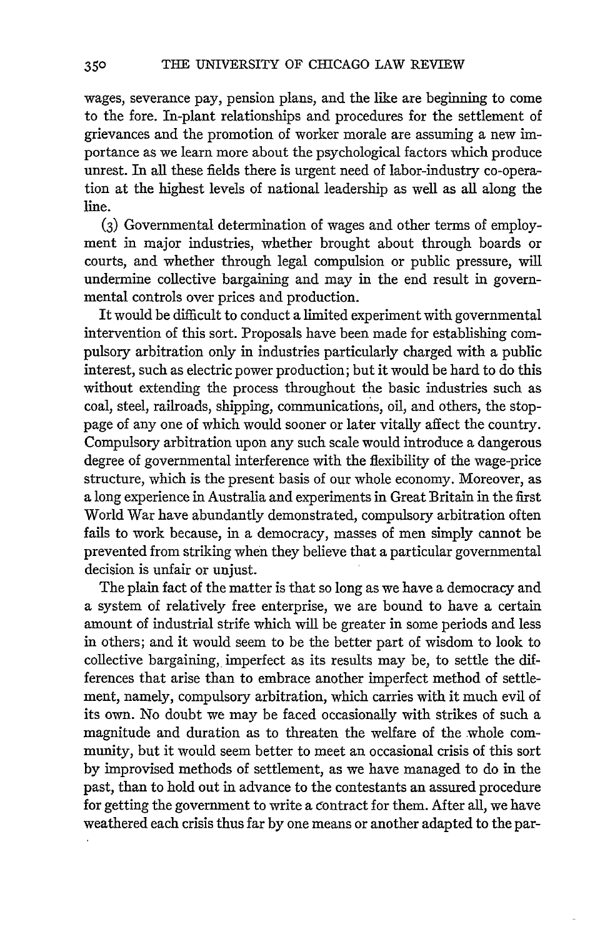wages, severance pay, pension plans, and the like are beginning to come to the fore. In-plant relationships and procedures for the settlement of grievances and the promotion of worker morale are assuming a new importance as we learn more about the psychological factors which produce unrest. In all these fields there is urgent need of labor-industry co-operation at the highest levels of national leadership as well as all along the line.

**(3)** Governmental determination of wages and other terms of employment in major industries, whether brought about through boards or courts, and whether through legal compulsion or public pressure, will undermine collective bargaining and may in the end result in governmental controls over prices and production.

It would be difficult to conduct a limited experiment with governmental intervention of this sort. Proposals have been made for establishing compulsory arbitration only in industries particularly charged with a public interest, such as electric power production; but it would be hard to do this without extending the process throughout the basic industries such as coal, steel, railroads, shipping, communications, oil, and others, the stoppage of any one of which would sooner or later vitally affect the country. Compulsory arbitration upon any such scale would introduce a dangerous degree of governmental interference with the flexibility of the wage-price structure, which is the present basis of our whole economy. Moreover, as a long experience in Australia and experiments in Great Britain in the first World War have abundantly demonstrated, compulsory arbitration often fails to work because, in a democracy, masses of men simply cannot be prevented from striking when they believe that a particular governmental decision is unfair or unjust.

The plain fact of the matter is that so long as we have a democracy and a system of relatively free enterprise, we are bound to have a certain amount of industrial strife which will be greater in some periods and less in others; and it would seem to be the better part of wisdom to look to collective bargaining, imperfect as its results may be, to settle the differences that arise than to embrace another imperfect method of settlement, namely, compulsory arbitration, which carries with it much evil of its own. No doubt we may be faced occasionally with strikes of such a magnitude and duration as to threaten the welfare of the whole community, but it would seem better to meet an occasional crisis of this sort by improvised methods of settlement, as we have managed to do in the past, than to hold out in advance to the contestants an assured procedure for getting the government to write a contract for them. After all, we have weathered each crisis thus far by one means or another adapted to the par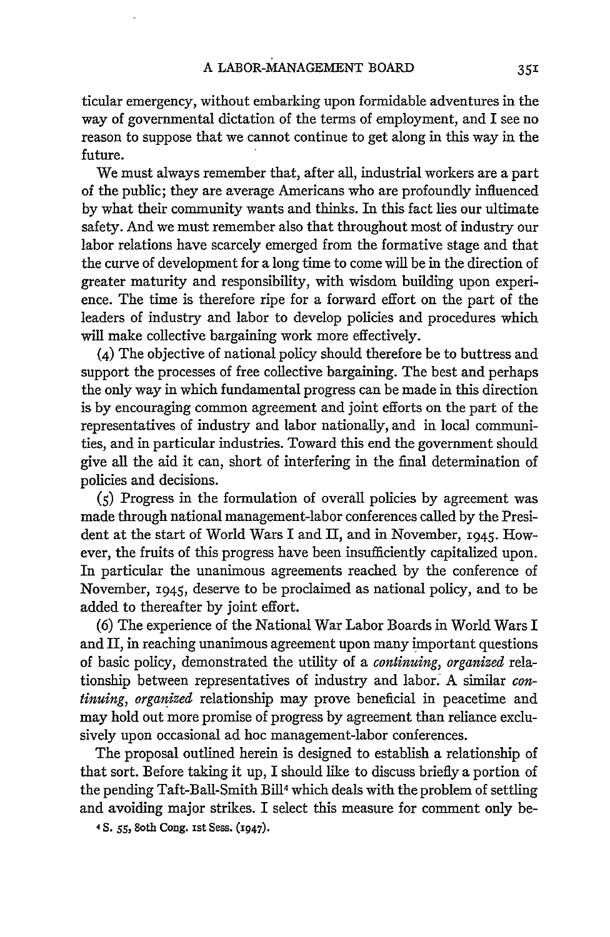ticular emergency, without embarking upon formidable adventures in the way of governmental dictation of the terms of employment, and I see no reason to suppose that we cannot continue to get along in this way in the future.

We must always remember that, after all, industrial workers are a part of the public; they are average Americans who are profoundly influenced by what their community wants and thinks. In this fact lies our ultimate safety. And we must remember also that throughout most of industry our labor relations have scarcely emerged from the formative stage and that the curve of development for a long time to come will be in the direction of greater maturity and responsibility, with wisdom building upon experience. The time is therefore ripe for a forward effort on the part of the leaders of industry and labor to develop policies and procedures which will make collective bargaining work more effectively.

(4) The objective of national policy should therefore be to buttress and support the processes of free collective bargaining. The best and perhaps the only way in which fundamental progress can be made in this direction is by encouraging common agreement and joint efforts on the part of the representatives of industry and labor nationally, and in local communities, and in particular industries. Toward this end the government should give all the aid it can, short of interfering in the final determination of policies and decisions.

**(5)** Progress in the formulation of overall policies by agreement was made through national management-labor conferences called by the President at the start of World Wars I and II, and in November, 1945. However, the fruits of this progress have been insufficiently capitalized upon. In particular the unanimous agreements reached by the conference of November, 1945, deserve to be proclaimed as national policy, and to be added to thereafter by joint effort.

(6) The experience of the National War Labor Boards in World Wars I and II, in reaching unanimous agreement upon many important questions of basic policy, demonstrated the utility of a *continuing, organized* relationship between representatives of industry and labor. A similar *continuing, organized* relationship may prove beneficial in peacetime and may hold out more promise of progress by agreement than reliance exclusively upon occasional ad hoc management-labor conferences.

The proposal outlined herein is designed to establish a relationship of that sort. Before taking it up, I should like to discuss briefly a portion of the pending Taft-Ball-Smith Bill<sup>4</sup> which deals with the problem of settling and avoiding major strikes. I select this measure for comment only be-

4 **S.** *55,* 8oth **Cong.** Ist Sess. (X947).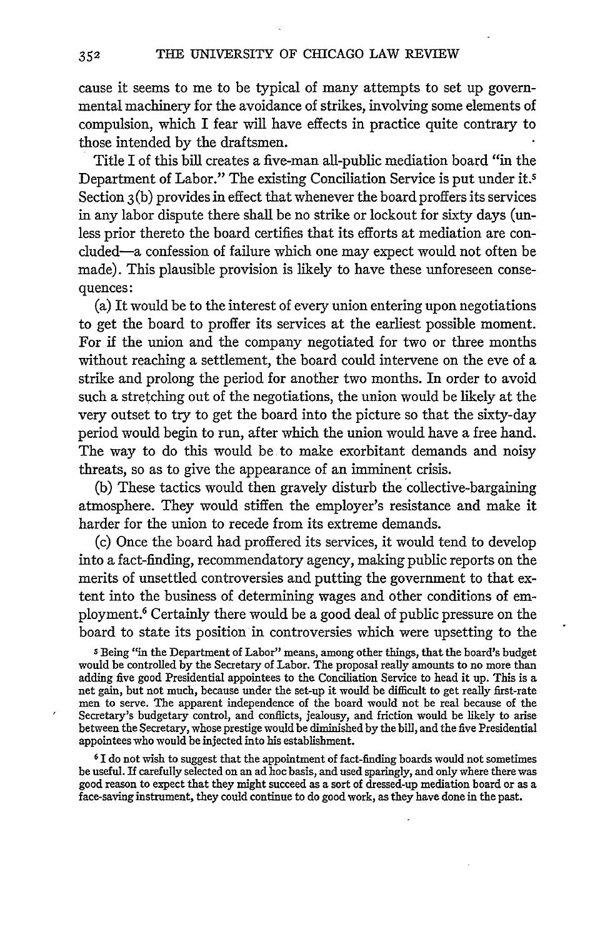cause it seems to me to be typical of many attempts to set up governmental machinery for the avoidance of strikes, involving some elements of compulsion, which I fear will have effects in practice quite contrary to those intended by the draftsmen.

Title I of this bill creates a five-man all-public mediation board "in the Department of Labor." The existing Conciliation Service is put under it.5 Section 3(b) provides in effect that whenever the board proffers its services in any labor dispute there shall be no strike or lockout for sixty days (unless prior thereto the board certifies that its efforts at mediation are concluded-a confession of failure which one may expect would not often be made). This plausible provision is likely to have these unforeseen consequences:

(a) It would be to the interest of every union entering upon negotiations to get the board to proffer its services at the earliest possible moment. For if the union and the company negotiated for two or three months without reaching a settlement, the board could intervene on the eve of a strike and prolong the period for another two months. In order to avoid such a stretching out of the negotiations, the union would be likely at the very outset to try to get the board into the picture so that the sixty-day period would begin to run, after which the union would have a free hand. The way to do this would be to make exorbitant demands and noisy threats, so as to give the appearance of an imminent crisis.

(b) These tactics would then gravely disturb the collective-bargaining atmosphere. They would stiffen the employer's resistance and make it harder for the union to recede from its extreme demands.

(c) Once the board had proffered its services, it would tend to develop into a fact-finding, recommendatory agency, making public reports on the merits of unsettled controversies and putting the government to that extent into the business of determining wages and other conditions of employment. 6 Certainly there would be a good deal of public pressure on the board to state its position in controversies which were upsetting to the

s Being "in the Department of Labor" means, among other things, that the board's budget would be controlled by the Secretary of Labor. The proposal really amounts to no more than adding five good Presidential appointees to the Conciliation Service to head it up. This is a net gain, but not much, because under the set-up it would be difficult to get really first-rate men to serve. The apparent independence of the board would not be real because of the Secretary's budgetary control, and conflicts, jealousy, and friction would be likely to arise between the Secretary, whose prestige would be diminished by the bill, and the five Presidential appointees who would be injected into his establishment.

**61** do not wish to suggest that the appointment of fact-finding boards would not sometimes be useful. If carefully selected on an ad hoc basis, and used sparingly, and only where there was good reason to expect that they might succeed as a sort of dressed-up mediation board or as a face-saving instrument, they could continue to do good work, as they have done in the past.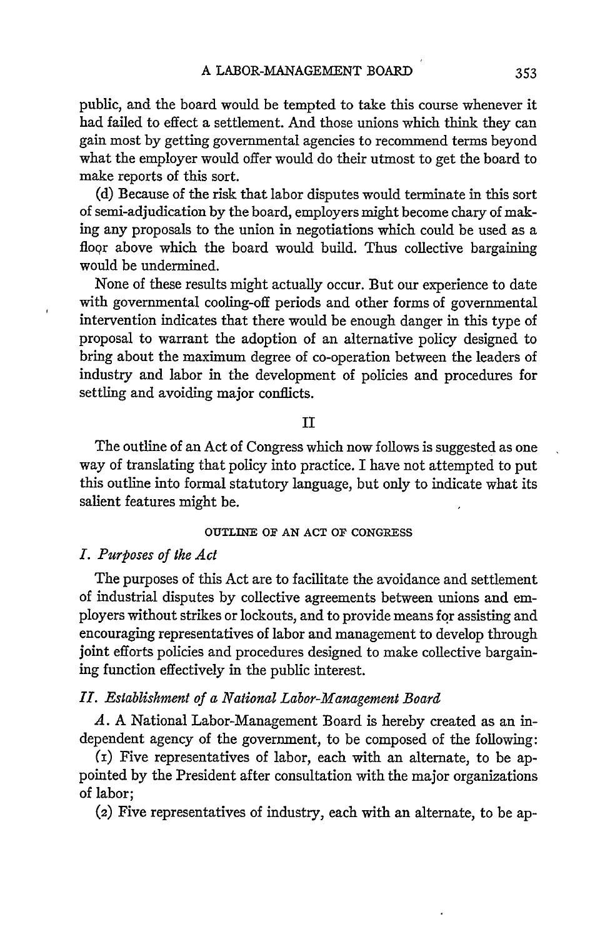public, and the board would be tempted to take this course whenever it had failed to effect a settlement. And those unions which think they can gain most by getting governmental agencies to recommend terms beyond what the employer would offer would do their utmost to get the board to make reports of this sort.

(d) Because of the risk that labor disputes would terminate in this sort of semi-adjudication by the board, employers might become chary of making any proposals to the union in negotiations which could be used as a floor above which the board would build. Thus collective bargaining would be undermined.

None of these results might actually occur. But our experience to date with governmental cooling-off periods and other forms of governmental intervention indicates that there would be enough danger in this type of proposal to warrant the adoption of an alternative policy designed to bring about the maximum degree of co-operation between the leaders of industry and labor in the development of policies and procedures for settling and avoiding major conflicts.

### **II**

The outline of an Act of Congress which now follows is suggested as one way of translating that policy into practice. I have not attempted to put this outline into formal statutory language, but only to indicate what its salient features might be.

#### **OUTLINE** OF **AN ACT OF CONGRESS**

#### *I. Purposes of the Act*

The purposes of this Act are to facilitate the avoidance and settlement of industrial disputes **by** collective agreements between unions and employers without strikes or lockouts, and to provide means for assisting and encouraging representatives of labor and management to develop through joint efforts policies and procedures designed to make collective bargaining function effectively in the public interest.

#### *II. Establishment of a National Labor-Management Board*

*A.* A National Labor-Management Board is hereby created as an independent agency of the government, to be composed of the following:

(i) Five representatives of labor, each with an alternate, to be appointed by the President after consultation with the major organizations of labor;

(2) Five representatives of industry, each with an alternate, to be ap-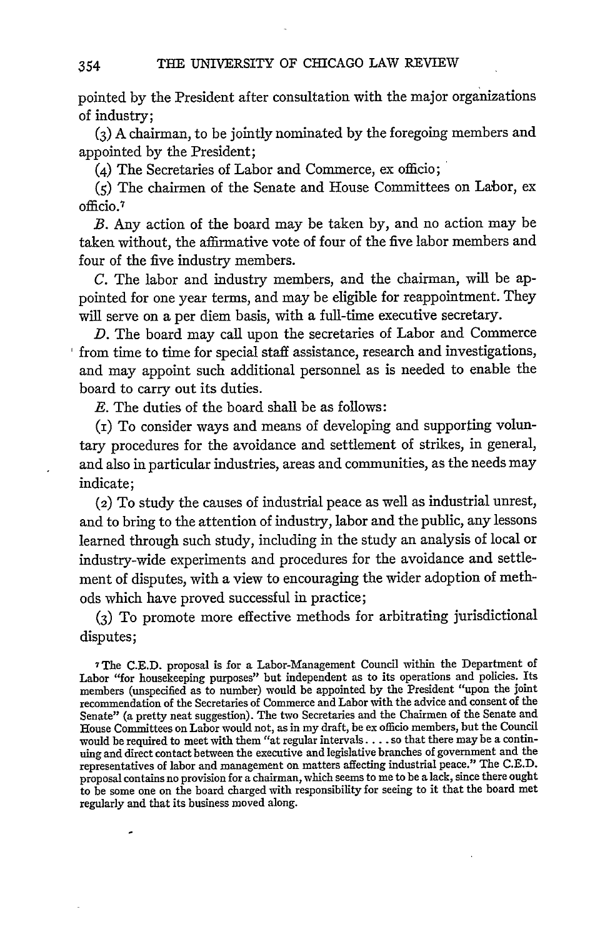pointed by the President after consultation with the major organizations of industry;

**(3)** A chairman, to be jointly nominated by the foregoing members and appointed by the President;

(4) The Secretaries of Labor and Commerce, ex officio;

**(5)** The chairmen of the Senate and House Committees on Labor, ex **officio. <sup>7</sup>**

B. Any action of the board may be taken by, and no action may be taken without, the affirmative vote of four of the five labor members and four of the five industry members.

C. The labor and industry members, and the chairman, will be appointed for one year terms, and may be eligible for reappointment. They will serve on a per diem basis, with a full-time executive secretary.

D. The board may call upon the secretaries of Labor and Commerce from time to time for special staff assistance, research and investigations, and may appoint such additional personnel as is needed to enable the board to carry out its duties.

**E.** The duties of the board shall be as follows:

(i) To consider ways and means of developing and supporting voluntary procedures for the avoidance and settlement of strikes, in general, and also in particular industries, areas and communities, as the needs may indicate;

(2) To study the causes of industrial peace as well as industrial unrest, and to bring to the attention of industry, labor and the public, any lessons learned through such study, including in the study an analysis of local or industry-wide experiments and procedures for the avoidance and settlement of disputes, with a view to encouraging the wider adoption of methods which have proved successful in practice;

**(3)** To promote more effective methods for arbitrating jurisdictional disputes;

7The **C.E.D.** proposal is for a Labor-Management Council within the Department of Labor "for housekeeping purposes" but independent as to its operations and policies. Its members (unspecified as to number) would be appointed by the President "upon the joint recommendation of the Secretaries of Commerce and Labor with the advice and consent of the Senate" (a pretty neat suggestion). The two Secretaries and the Chairmen of the Senate and House Committees on Labor would not, as in my draft, be ex officio members, but the Council would be required to meet with them "at regular intervals **....** so that there may be a continuing and direct contact between the executive and legislative branches of government and the representatives of labor and management on matters affecting industrial peace." The C.E.D. proposal contains no provision for a chairman, which seems to me to be a lack, since there ought to be some one on the board charged with responsibility for seeing to it that the board met regularly and that its business moved along.

354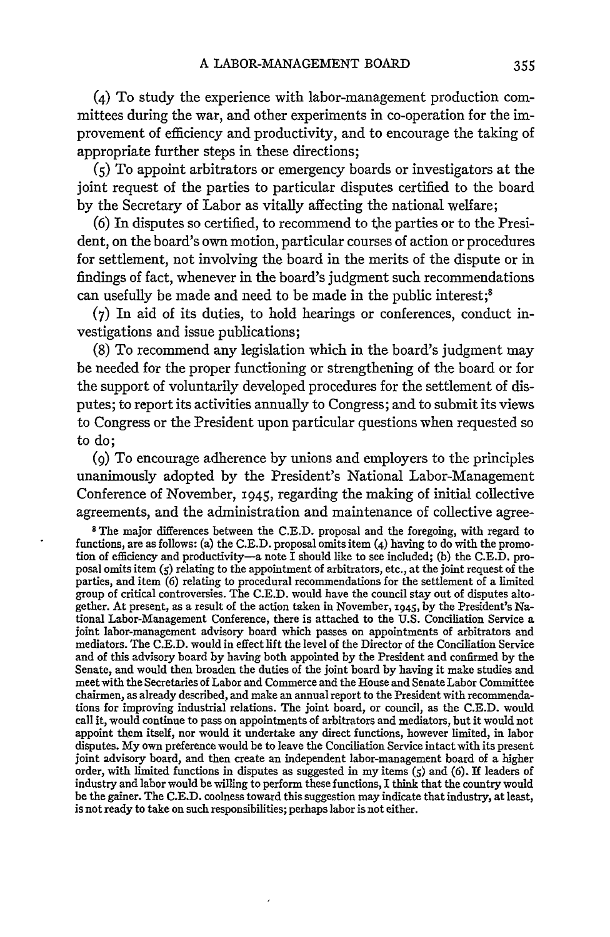(4) To study the experience with labor-management production committees during the war, and other experiments in co-operation for the improvement of efficiency and productivity, and to encourage the taking of appropriate further steps in these directions;

*(5)* To appoint arbitrators or emergency boards or investigators at the joint request of the parties to particular disputes certified to the board by the Secretary of Labor as vitally affecting the national welfare;

(6) In disputes so certified, to recommend to the parties or to the President, on the board's own motion, particular courses of action or procedures for settlement, not involving the board in the merits of the dispute or in findings of fact, whenever in the board's judgment such recommendations can usefully be made and need to be made in the public interest;<sup>8</sup>

**(7)** In aid of its duties, to hold hearings or conferences, conduct investigations and issue publications;

(8) To recommend any legislation which in the board's judgment may be needed for the proper functioning or strengthening of the board or for the support of voluntarily developed procedures for the settlement of disputes; to report its activities annually to Congress; and to submit its views to Congress or the President upon particular questions when requested so to do;

*(9)* To encourage adherence by unions and employers to the principles unanimously adopted by the President's National Labor-Management Conference of November, 1945, regarding the making of initial collective agreements, and the administration and maintenance of collective agree-

**8** The major differences between the C.E.D. proposal and the foregoing, with regard to functions, are as follows: (a) the C.E.D. proposal omits item **(4)** having to do with the promotion of efficiency and productivity-a note I should like to see included; **(b)** the C.E.D. proposal omits item *(5)* relating to the appointment of arbitrators, etc., at the joint request of the parties, and item (6) relating to procedural recommendations for the settlement of a limited group of critical controversies. The C.E.D. would have the council stay out of disputes altogether. At present, as a result of the action taken in November, 1945, **by** the President's National Labor-Management Conference, there is attached to the U.S. Conciliation Service a joint labor-management advisory board which passes on appointments of arbitrators and mediators. The C.E.D. would in effect lift the level of the Director of the Conciliation Service and of this advisory board by having both appointed by the President and confirmed by the Senate, and would then broaden the duties of the joint board by having it make studies and meet with the Secretaries of Labor and Commerce and the House and Senate Labor Committee chairmen, as already described, and make an annual report to the President with recommendations for improving industrial relations. The joint board, or council, as the C.E.D. would call it, would continue to pass on appointments of arbitrators and mediators, but it would not appoint them itself, nor would it undertake any direct functions, however limited, in labor disputes. My own preference would be to leave the Conciliation Service intact with its present joint advisory board, and then create an independent labor-management board of a higher order, with limited functions in disputes as suggested in my items **(5)** and (6). If leaders of industry and labor would be willing to perform these functions, I think that the country would be the gainer. The C.E.D. coolness toward this suggestion may indicate that industry, at least, is not ready to take on such responsibilities; perhaps labor is not either.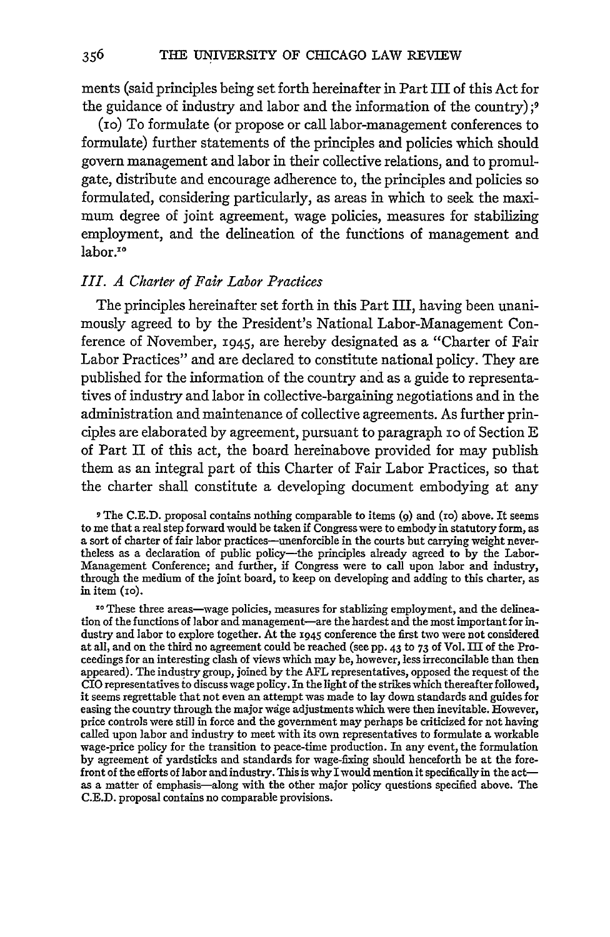ments (said principles being set forth hereinafter in Part III of this Act for the guidance of industry and labor and the information of the country) **;9**

(io) To formulate (or propose or call labor-management conferences to formulate) further statements of the principles and policies which should govern management and labor in their collective relations, and to promulgate, distribute and encourage adherence to, the principles and policies so formulated, considering particularly, as areas in which to seek the maximum degree of joint agreement, wage policies, measures for stabilizing employment, and the delineation of the functions of management and labor.<sup>10</sup>

#### *III. A Charter of Fair Labor Practices*

The principles hereinafter set forth in this Part III, having been unanimously agreed to by the President's National Labor-Management Conference of November, x945, are hereby designated as a "Charter of Fair Labor Practices" and are declared to constitute national policy. They are published for the information of the country and as a guide to representatives of industry and labor in collective-bargaining negotiations and in the administration and maintenance of collective agreements. As further principles are elaborated by agreement, pursuant to paragraph io of Section E of Part II of this act, the board hereinabove provided for may publish them as an integral part of this Charter of Fair Labor Practices, so that the charter shall constitute a developing document embodying at any

**9** The C.E.D. proposal contains nothing comparable to items **(9)** and (1o) above. It seems to me that a real step forward would be taken if Congress were to embody in statutory form, as a sort of charter of fair labor practices-unenforcible in the courts but carrying weight nevertheless as a declaration of public policy-the principles already agreed to by the Labor-Management Conference; and further, if Congress were to call upon labor and industry, through the medium of the joint board, to keep on developing and adding to this charter, as in item (io).

**10** These three areas-wage policies, measures for stablizing employment, and the delineation of the functions of labor and management-are the hardest and the most important for industry and labor to explore together. At the 1945 conference the first two were not considered at all, and on the third no agreement could be reached (see pp. 43 to 73 of Vol. III of the Proceedings for an interesting clash of views which may be, however, less irreconcilable than then appeared). The industry group, joined by the AFL representatives, opposed the request of the CIO representatives to discuss wage policy. In the light of the strikes which thereafter followed, it seems regrettable that not even an attempt was made to lay down standards and guides for easing the country through the major wdge adjustments which were then inevitable. However, price controls were still in force and the government may perhaps be criticized for not having called upon labor and industry to meet with its own representatives to formulate a workable wage-price policy for the transition to peace-time production. In any event, the formulation by agreement of yardsticks and standards for wage-fixing should henceforth be at the forefront of the efforts of labor and industry. This is why I would mention it specifically in the actas a matter of emphasis-along with the other major policy questions specified above. The C.E.D. proposal contains no comparable provisions.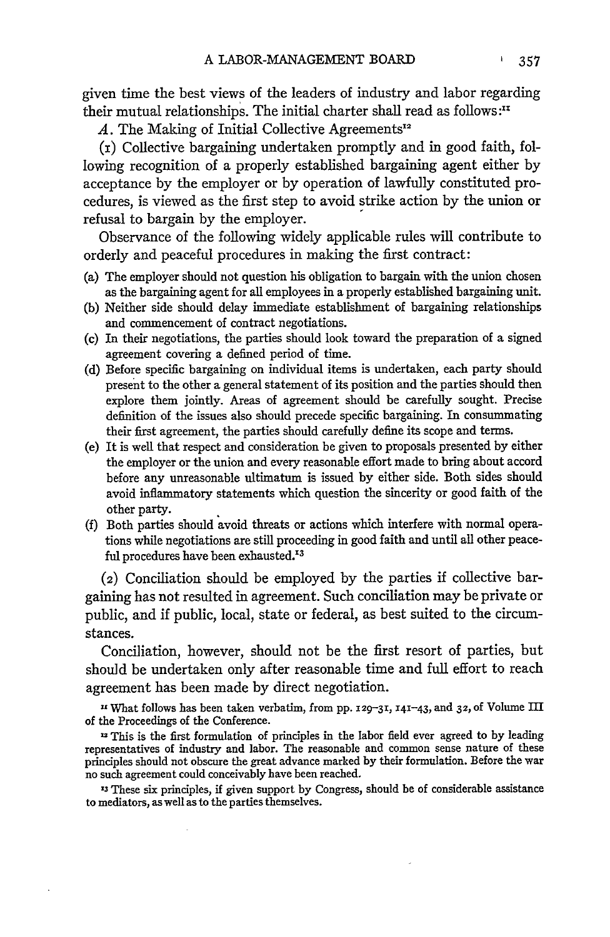given time the best views of the leaders of industry and labor regarding their mutual relationships. The initial charter shall read as follows:<sup>11</sup>

A. The Making of Initial Collective Agreements<sup>1</sup>

**(i)** Collective bargaining undertaken promptly and in good faith, following recognition of a properly established bargaining agent either by acceptance by the employer or by operation of lawfully constituted procedures, is viewed as the first step to avoid strike action by the union or refusal to bargain by the employer.

Observance of the following widely applicable rules will contribute to orderly and peaceful procedures in making the first contract:

- (a) The employer should not question his obligation to bargain with the union chosen as the bargaining agent for all employees in a properly established bargaining unit.
- (b) Neither side should delay immediate establishment of bargaining relationships and commencement of contract negotiations.
- (c) In their negotiations, the parties should look toward the preparation of a signed agreement covering a defined period of time.
- (d) Before specific bargaining on individual items is undertaken, each party should present to the other a general statement of its position and the parties should then explore them jointly. Areas of agreement should be carefully sought. Precise definition of the issues also should precede specific bargaining. In consummating their first agreement, the parties should carefully define its scope and terms.
- (e) It is well that respect and consideration be given to proposals presented by either the employer or the union and every reasonable effort made to bring about accord before any unreasonable ultimatum is issued by either side. Both sides should avoid inflammatory statements which question the sincerity or good faith of the other party.
- (f) Both parties should avoid threats or actions which interfere with normal operations while negotiations are still proceeding in good faith and until all other peaceful procedures have been exhausted.<sup>13</sup>

(2) Conciliation should be employed by the parties if collective bargaining has not resulted in agreement. Such conciliation may be private or public, and if public, local, state or federal, as best suited to the circumstances.

Conciliation, however, should not be the first resort of parties, but should be undertaken only after reasonable time and full effort to reach agreement has been made by direct negotiation.

**"** What follows has been taken verbatim, from **pp.** X29-31, **141-43,** and **32,** of Volume III of the Proceedings of the Conference.

**-** This is the first formulation of principles in the labor field ever agreed to by leading representatives of industry and labor. The reasonable and common sense nature of these principles should not obscure the great advance marked by their formulation. Before the war no such agreement could conceivably have been reached.

**<sup>13</sup>**These six principles, **if** given support by Congress, should be of considerable assistance to mediators, as well as to the parties themselves.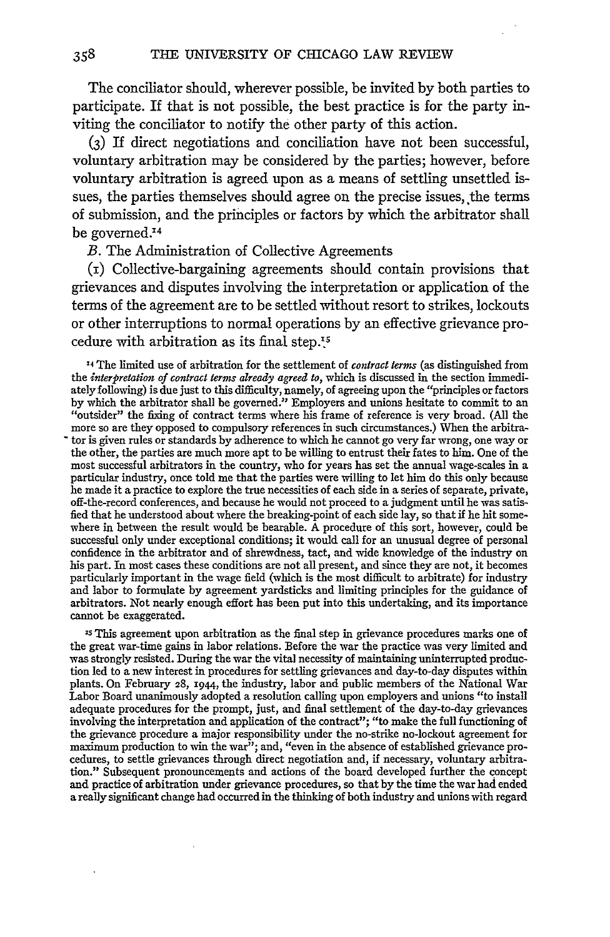The conciliator should, wherever possible, be invited by both parties to participate. If that is not possible, the best practice is for the party inviting the conciliator to notify the other party of this action.

**(3)** If direct negotiations and conciliation have not been successful, voluntary arbitration may be considered by the parties; however, before voluntary arbitration is agreed upon as a means of settling unsettled issues, the parties themselves should agree on the precise issues, the terms of submission, and the principles or factors by which the arbitrator shall be governed.<sup>14</sup>

B. The Administration of Collective Agreements

358

**(i)** Collective-bargaining agreements should contain provisions that grievances and disputes involving the interpretation or application of the terms of the agreement are to be settled without resort to strikes, lockouts or other interruptions to normal operations by an effective grievance procedure with arbitration as its final step..5

**'4** The limited use of arbitration for the settlement of *contract terms* (as distinguished from the *interpretation of contract terms already agreed to,* which is discussed in the section immediately following) is due just to this difficulty, namely, of agreeing upon the "principles or factors by which the arbitrator shall be governed." Employers and unions hesitate to commit to an "outsider" the fixing of contract terms where his frame of reference is very broad. (All the more so are they opposed to compulsory references in such circumstances.) When the arbitra- - tor is given rules or standards by adherence to which he cannot go very far wrong, one way or the other, the parties are much more apt to be willing to entrust their fates to him. One of the most successful arbitrators in the country, who for years has set the annual wage-scales in a particular industry, once told me that the parties were willing to let him do this only because he made it a practice to explore the true necessities of each side in a series of separate, private, off-the-record conferences, and because he would not proceed to a judgment until he was satisfied that he understood about where the breaking-point of each side lay, so that **if** he hit somewhere in between the result would be bearable. A procedure of this sort, however, could be successful only under exceptional conditions; it would call for an unusual degree of personal confidence in the arbitrator and of shrewdness, tact, and wide knowledge of the industry on his part. In most cases these conditions are not all present, and since they are not, it becomes particularly important in the wage field (which is the most difficult to arbitrate) for industry and labor to formulate by agreement yardsticks and limiting principles for the guidance of arbitrators. Not nearly enough effort has been put into this undertaking, and its importance cannot be exaggerated.

<sup>15</sup> This agreement upon arbitration as the final step in grievance procedures marks one of the great war-time gains in labor relations. Before the war the practice was very limited and was strongly resisted. During the war the vital necessity of maintaining uninterrupted production led to a new interest in procedures for settling grievances and day-to-day disputes within plants. On February **28,** i944, the industry, labor and public members of the National War Labor Board unanimously adopted a resolution calling upon employers and unions "to install adequate procedures for the prompt, just, and final settlement of the day-to-day grievance involving the interpretation and application of the contract"; "to make the full functioning of the grievance procedure a major responsibility under the no-strike no-lockout agreement for maximum production to win the war"; and, "even in the absence of established grievance procedures, to settle grievances through direct negotiation and, if necessary, voluntary arbitration." Subsequent pronouncements and actions of the board developed further the concept and practice of arbitration under grievance procedures, so that by the time the war had ended a really significant change had occurred in the thinking of both industry and unions with regard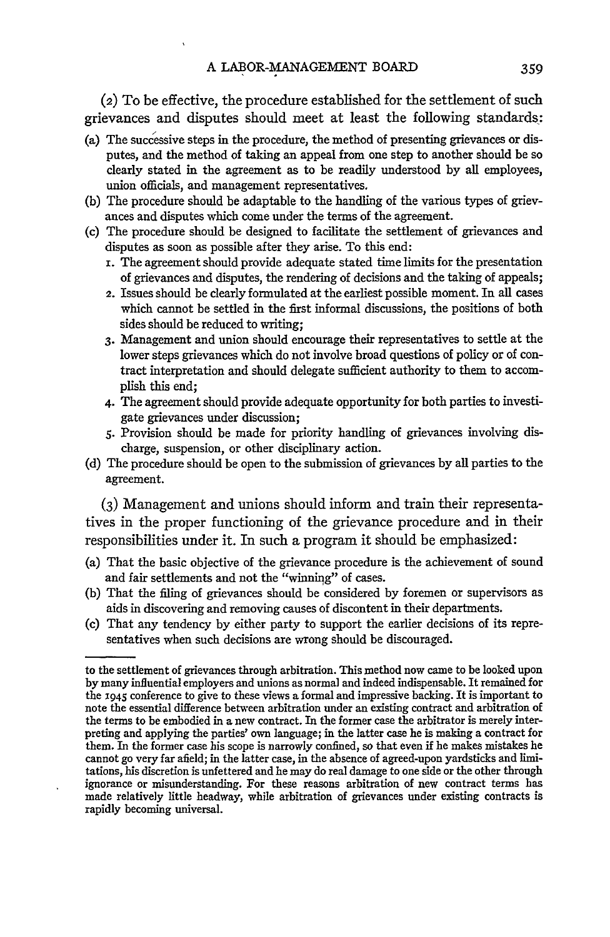(2) To be effective, the procedure established for the settlement of such grievances and disputes should meet at least the following standards:

- (a) The successive steps in the procedure, the method of presenting grievances or disputes, and the method of taking an appeal from one step to another should be so clearly stated in the agreement as to be readily understood by all employees, union officials, and management representatives.
- (b) The procedure should be adaptable to the handling of the various types of grievances and disputes which come under the terms of the agreement.
- (c) The procedure should be designed to facilitate the settlement of grievances and disputes as soon as possible after they arise. To this end:
	- **i.** The agreement should provide adequate stated time limits for the presentation of grievances and disputes, the rendering of decisions and the taking of appeals;
	- 2. Issues should be clearly formulated at the earliest possible moment. In all cases which cannot be settled in the first informal discussions, the positions of both sides should be reduced to writing;
	- **3.** Management and union should encourage their representatives to settle at the lower steps grievances which do not involve broad questions of policy or of contract interpretation and should delegate sufficient authority to them to accomplish this end;
	- 4. The agreement should provide adequate opportunity for both parties to investigate grievances under discussion;
	- *5.* Provision should be made for priority handling of grievances involving discharge, suspension, or other disciplinary action.
- (d) The procedure should be open to the submission of grievances by all parties to the agreement.

**(3)** Management and unions should inform and train their representatives in the proper functioning of the grievance procedure and in their responsibilities under it. In such a program it should be emphasized:

- (a) That the basic objective of the grievance procedure is the achievement of sound and fair settlements and not the "winning" of cases.
- (b) That the filing of grievances should be considered by foremen or supervisors as aids in discovering and removing causes of discontent in their departments.
- (c) That any tendency by either party to support the earlier decisions of its representatives when such decisions are wrong should be discouraged.

to the settlement of grievances through arbitration. This method now came to be looked upon **by** many influential employers and unions as normal and indeed indispensable. It remained for the 1945 conference to give to these views a formal and impressive backing. It is important to note the essential difference between arbitration under an existing contract and arbitration of the terms to be embodied in a new contract. In the former case the arbitrator is merely interpreting and applying the parties' own language; in the latter case he is making a contract for them. In the former case his scope is narrowly confined, so that even if he makes mistakes he cannot go very far afield; in the latter case, in the absence of agreed-upon yardsticks and limitations, his discretion is unfettered and he may do real damage to one side or the other through ignorance or misunderstanding. For these reasons arbitration of new contract terms has made relatively little headway, while arbitration of grievances under existing contracts is rapidly becoming universal.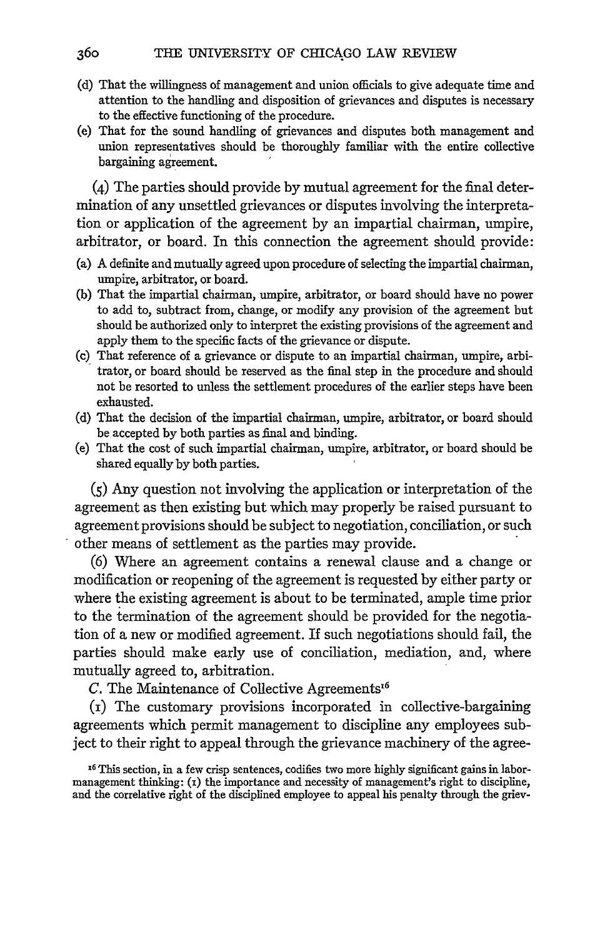- (d) That the willingness of management and union officials to give adequate time and attention to the handling and disposition of grievances and disputes is necessary to the effective functioning of the procedure.
- (e) That for the sound handling of grievances and disputes both management and union representatives should be thoroughly familiar with the entire collective bargaining agreement.

(4) The parties should provide by mutual agreement for the final determination of any unsettled grievances or disputes involving the interpretation or application of the agreement by an impartial chairman, umpire, arbitrator, or board. In this connection the agreement should provide:

- (a) A definite and mutually agreed upon procedure of selecting the impartial chairman, umpire, arbitrator, or board.
- (b) That the impartial chairman, umpire, arbitrator, or board should have no power to add to, subtract from, change, or modify any provision of the agreement but should be authorized only to interpret the existing provisions of the agreement and apply them to the specific facts of the grievance or dispute.
- **(c)** That reference of a grievance or dispute to an impartial chairman, umpire, arbitrator, or board should be reserved as the final step in the procedure and should not be resorted to unless the settlement procedures of the earlier steps have been exhausted.
- (d) That the decision of the impartial chairman, umpire, arbitrator, or board should be accepted by both parties as final and binding.
- (e) That the cost of such impartial chairman, umpire, arbitrator, or board should be shared equally by both parties.

(5) Any question not involving the application or interpretation of the agreement as then existing but which may properly be raised pursuant to agreement provisions should be subject to negotiation, conciliation, or such other means of settlement as the parties may provide.

(6) Where an agreement contains a renewal clause and a change or modification or reopening of the agreement is requested by either party or where the existing agreement is about to be terminated, ample time prior to the termination of the agreement should be provided for the negotiation of a new or modified agreement. If such negotiations should fail, the parties should make early use of conciliation, mediation, and, where mutually agreed to, arbitration.

 $C$ . The Maintenance of Collective Agreements<sup>16</sup>

(i) The customary provisions incorporated in collective-bargaining agreements which permit management to discipline any employees subject to their right to appeal through the grievance machinery of the agree-

**<sup>16</sup>** This section, in a few crisp sentences, codifies two more highly significant gains in labormanagement thinking: (1) the importance and necessity of management's right to discipline, and the correlative right of the disciplined employee to appeal his penalty through the griev-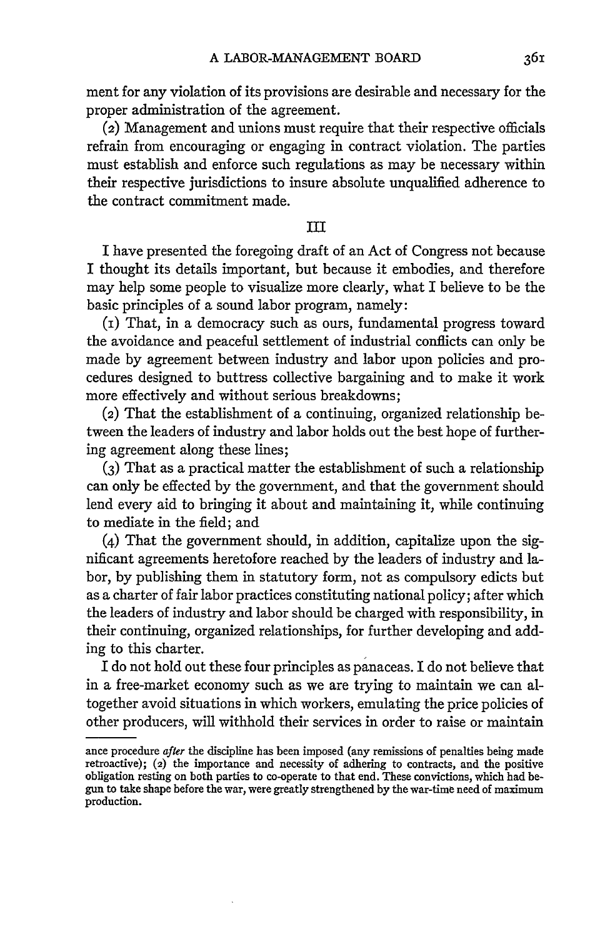ment for any violation of its provisions are desirable and necessary for the proper administration of the agreement.

(2) Management and unions must require that their respective officials refrain from encouraging or engaging in contract violation. The parties must establish and enforce such regulations as may be necessary within their respective jurisdictions to insure absolute unqualified adherence to the contract commitment made.

### III

I have presented the foregoing draft of an Act of Congress not because I thought its details important, but because it embodies, and therefore may help some people to visualize more clearly, what I believe to be the basic principles of a sound labor program, namely:

(i) That, in a democracy such as ours, fundamental progress toward the avoidance and peaceful settlement of industrial conflicts can only be made by agreement between industry and labor upon policies and procedures designed to buttress collective bargaining and to make it work more effectively and without serious breakdowns;

(2) That the establishment of a continuing, organized relationship between the leaders of industry and labor holds out the best hope of furthering agreement along these lines;

**(3)** That as a practical matter the establishment of such a relationship can only be effected by the government, and that the government should lend every aid to bringing it about and maintaining it, while continuing to mediate in the field; and

(4) That the government should, in addition, capitalize upon the significant agreements heretofore reached by the leaders of industry and labor, by publishing them in statutory form, not as compulsory edicts but as a charter of fair labor practices constituting national policy; after which the leaders of industry and labor should be charged with responsibility, in their continuing, organized relationships, for further developing and adding to this charter.

I do not hold out these four principles as panaceas. I do not believe that in a free-market economy such as we are trying to maintain we can altogether avoid situations in which workers, emulating the price policies of other producers, will withhold their services in order to raise or maintain

ance procedure *after* the discipline has been imposed (any remissions of penalties being made retroactive); (2) the importance and necessity of adhering to contracts, and the positive obligation resting on both parties to co-operate to that end. These convictions, which had begun to take shape before the war, were greatly strengthened by the war-time need of maximum production.